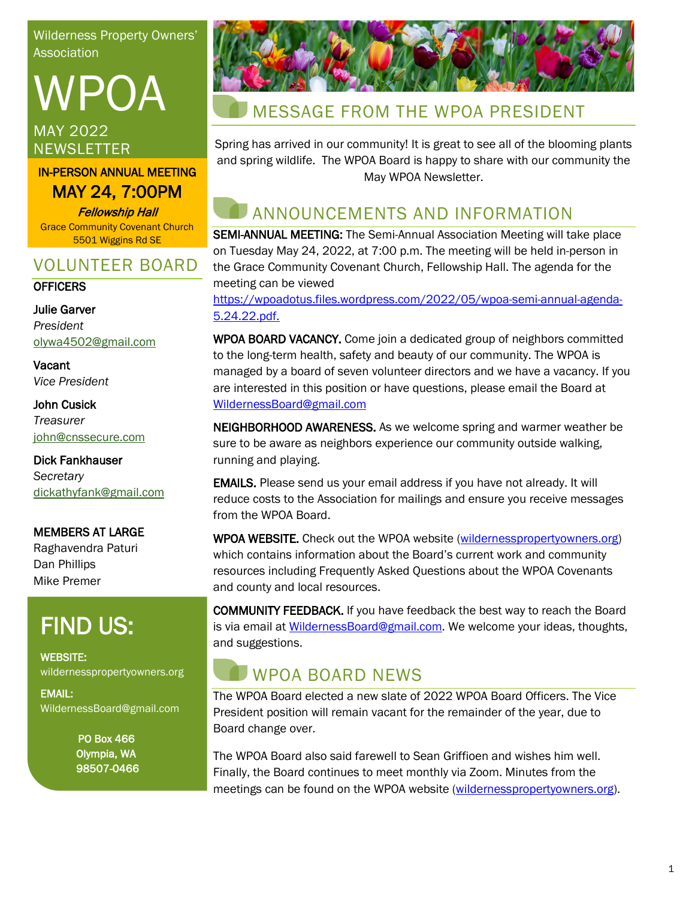Wilderness Property Owners' **Association** 

# WPOA MAY 2022 **NEWSLETTER**

#### IN-PERSON ANNUAL MEETING MAY 24, 7:00PM

Fellowship Hall Grace Community Covenant Church 5501 Wiggins Rd SE

### VOLUNTEER BOARD

#### **OFFICERS**

Julie Garver *President* [olywa4502@gmail.com](mailto:matrus2007@hotmail.com)

**Vacant** *Vice President*

John Cusick *Treasurer* [john@cnssecure.com](mailto:john@cnssecure.com)

Dick Fankhauser *Secretary* [dickathyfank@gmail.com](https://wildernesspropertyowners.org/dickathyfank@gmail.com)

MEMBERS AT LARGE Raghavendra Paturi Dan Phillips Mike Premer

# FIND US:

WEBSITE: wildernesspropertyowners.org

EMAIL: WildernessBoard@gmail.com

> PO Box 466 Olympia, WA 98507-0466



## MESSAGE FROM THE WPOA PRESIDENT

Spring has arrived in our community! It is great to see all of the blooming plants and spring wildlife. The WPOA Board is happy to share with our community the May WPOA Newsletter.

# ANNOUNCEMENTS AND INFORMATION

SEMI-ANNUAL MEETING: The Semi-Annual Association Meeting will take place on Tuesday May 24, 2022, at 7:00 p.m. The meeting will be held in-person in the Grace Community Covenant Church, Fellowship Hall. The agenda for the meeting can be viewed

https://wpoadotus.files.wordpress.com/2022/05/wpoa-semi-annual-agenda-5.24.22.pdf.

WPOA BOARD VACANCY. Come join a dedicated group of neighbors committed to the long-term health, safety and beauty of our community. The WPOA is managed by a board of seven volunteer directors and we have a vacancy. If you are interested in this position or have questions, please email the Board at [WildernessBoard@gmail.com](mailto:WildernessBoard@gmail.com)

NEIGHBORHOOD AWARENESS. As we welcome spring and warmer weather be sure to be aware as neighbors experience our community outside walking, running and playing.

EMAILS. Please send us your email address if you have not already. It will reduce costs to the Association for mailings and ensure you receive messages from the WPOA Board.

WPOA WEBSITE. Check out the WPOA website [\(wildernesspropertyowners.org\)](https://wildernesspropertyowners.org/) which contains information about the Board's current work and community resources including Frequently Asked Questions about the WPOA Covenants and county and local resources.

COMMUNITY FEEDBACK. If you have feedback the best way to reach the Board is via email a[t WildernessBoard@gmail.com.](mailto:WildernessBoard@gmail.comW) We welcome your ideas, thoughts, and suggestions.

# WPOA BOARD NEWS

The WPOA Board elected a new slate of 2022 WPOA Board Officers. The Vice President position will remain vacant for the remainder of the year, due to Board change over.

The WPOA Board also said farewell to Sean Griffioen and wishes him well. Finally, the Board continues to meet monthly via Zoom. Minutes from the meetings can be found on the WPOA website [\(wildernesspropertyowners.org\)](https://wildernesspropertyowners.org/).